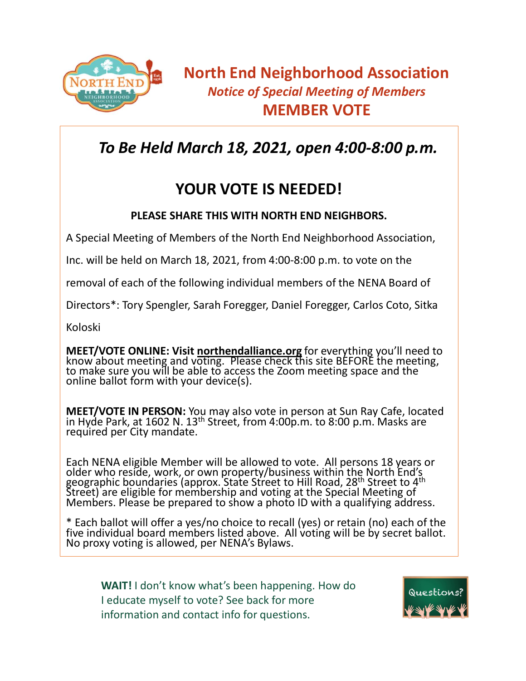

## *To Be Held March 18, 2021, open 4:00-8:00 p.m.*

## **YOUR VOTE IS NEEDED!**

## **PLEASE SHARE THIS WITH NORTH END NEIGHBORS.**

A Special Meeting of Members of the North End Neighborhood Association,

Inc. will be held on March 18, 2021, from 4:00-8:00 p.m. to vote on the

removal of each of the following individual members of the NENA Board of

Directors\*: Tory Spengler, Sarah Foregger, Daniel Foregger, Carlos Coto, Sitka

Koloski

**MEET/VOTE ONLINE: Visit northendalliance.org** for everything you'll need to know about meeting and voting. Please check this site BEFORE the meeting, to make sure you will be able to access the Zoom meeting space and the online ballot form with your device(s).

**MEET/VOTE IN PERSON:** You may also vote in person at Sun Ray Cafe, located in Hyde Park, at 1602 N. 13<sup>th</sup> Street, from 4:00p.m. to 8:00 p.m. Masks are required per City mandate.

Each NENA eligible Member will be allowed to vote. All persons 18 years or older who reside, work, or own property/business within the North End's geographic boundaries (approx. State Street to Hill Road, 28<sup>th</sup> Street to 4<sup>th</sup> Street) are eligible for membership and voting at the Special Meeting of Members. Please be prepared to show a photo ID with a qualifying address.

\* Each ballot will offer a yes/no choice to recall (yes) or retain (no) each of the five individual board members listed above. All voting will be by secret ballot. No proxy voting is allowed, per NENA's Bylaws.

**WAIT!** I don't know what's been happening. How do I educate myself to vote? See back for more information and contact info for questions.